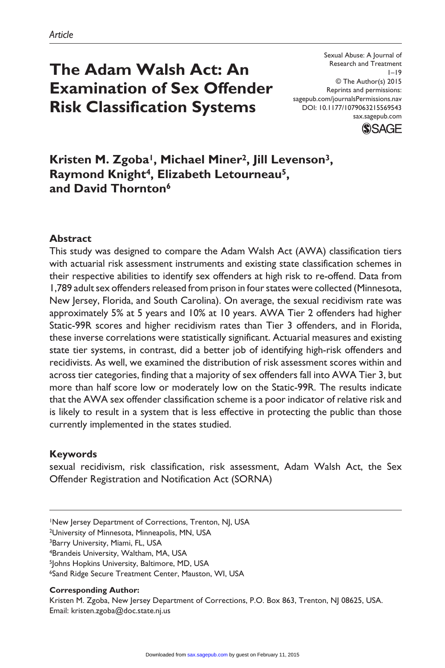# **The Adam Walsh Act: An Examination of Sex Offender Risk Classification Systems**

Sexual Abuse: A Journal of Research and Treatment  $1 - 19$ © The Author(s) 2015 Reprints and permissions: sagepub.com/journalsPermissions.nav DOI: 10.1177/1079063215569543 sax.sagepub.com



Kristen M. Zgoba<sup>1</sup>, Michael Miner<sup>2</sup>, Jill Levenson<sup>3</sup>, **Raymond Knight4, Elizabeth Letourneau5, and David Thornton6**

## **Abstract**

This study was designed to compare the Adam Walsh Act (AWA) classification tiers with actuarial risk assessment instruments and existing state classification schemes in their respective abilities to identify sex offenders at high risk to re-offend. Data from 1,789 adult sex offenders released from prison in four states were collected (Minnesota, New Jersey, Florida, and South Carolina). On average, the sexual recidivism rate was approximately 5% at 5 years and 10% at 10 years. AWA Tier 2 offenders had higher Static-99R scores and higher recidivism rates than Tier 3 offenders, and in Florida, these inverse correlations were statistically significant. Actuarial measures and existing state tier systems, in contrast, did a better job of identifying high-risk offenders and recidivists. As well, we examined the distribution of risk assessment scores within and across tier categories, finding that a majority of sex offenders fall into AWA Tier 3, but more than half score low or moderately low on the Static-99R. The results indicate that the AWA sex offender classification scheme is a poor indicator of relative risk and is likely to result in a system that is less effective in protecting the public than those currently implemented in the states studied.

#### **Keywords**

sexual recidivism, risk classification, risk assessment, Adam Walsh Act, the Sex Offender Registration and Notification Act (SORNA)

1New Jersey Department of Corrections, Trenton, NJ, USA

2University of Minnesota, Minneapolis, MN, USA

3Barry University, Miami, FL, USA

4Brandeis University, Waltham, MA, USA

<sup>5</sup>Johns Hopkins University, Baltimore, MD, USA

6Sand Ridge Secure Treatment Center, Mauston, WI, USA

#### **Corresponding Author:**

Kristen M. Zgoba, New Jersey Department of Corrections, P.O. Box 863, Trenton, NJ 08625, USA. Email: [kristen.zgoba@doc.state.nj.us](mailto:kristen.zgoba@doc.state.nj.us)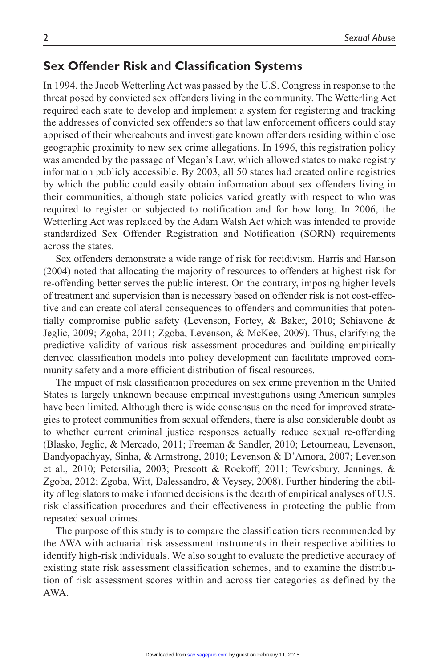# **Sex Offender Risk and Classification Systems**

In 1994, the Jacob Wetterling Act was passed by the U.S. Congress in response to the threat posed by convicted sex offenders living in the community. The Wetterling Act required each state to develop and implement a system for registering and tracking the addresses of convicted sex offenders so that law enforcement officers could stay apprised of their whereabouts and investigate known offenders residing within close geographic proximity to new sex crime allegations. In 1996, this registration policy was amended by the passage of Megan's Law, which allowed states to make registry information publicly accessible. By 2003, all 50 states had created online registries by which the public could easily obtain information about sex offenders living in their communities, although state policies varied greatly with respect to who was required to register or subjected to notification and for how long. In 2006, the Wetterling Act was replaced by the Adam Walsh Act which was intended to provide standardized Sex Offender Registration and Notification (SORN) requirements across the states.

Sex offenders demonstrate a wide range of risk for recidivism. Harris and Hanson (2004) noted that allocating the majority of resources to offenders at highest risk for re-offending better serves the public interest. On the contrary, imposing higher levels of treatment and supervision than is necessary based on offender risk is not cost-effective and can create collateral consequences to offenders and communities that potentially compromise public safety (Levenson, Fortey, & Baker, 2010; Schiavone & Jeglic, 2009; Zgoba, 2011; Zgoba, Levenson, & McKee, 2009). Thus, clarifying the predictive validity of various risk assessment procedures and building empirically derived classification models into policy development can facilitate improved community safety and a more efficient distribution of fiscal resources.

The impact of risk classification procedures on sex crime prevention in the United States is largely unknown because empirical investigations using American samples have been limited. Although there is wide consensus on the need for improved strategies to protect communities from sexual offenders, there is also considerable doubt as to whether current criminal justice responses actually reduce sexual re-offending (Blasko, Jeglic, & Mercado, 2011; Freeman & Sandler, 2010; Letourneau, Levenson, Bandyopadhyay, Sinha, & Armstrong, 2010; Levenson & D'Amora, 2007; Levenson et al., 2010; Petersilia, 2003; Prescott & Rockoff, 2011; Tewksbury, Jennings, & Zgoba, 2012; Zgoba, Witt, Dalessandro, & Veysey, 2008). Further hindering the ability of legislators to make informed decisions is the dearth of empirical analyses of U.S. risk classification procedures and their effectiveness in protecting the public from repeated sexual crimes.

The purpose of this study is to compare the classification tiers recommended by the AWA with actuarial risk assessment instruments in their respective abilities to identify high-risk individuals. We also sought to evaluate the predictive accuracy of existing state risk assessment classification schemes, and to examine the distribution of risk assessment scores within and across tier categories as defined by the AWA.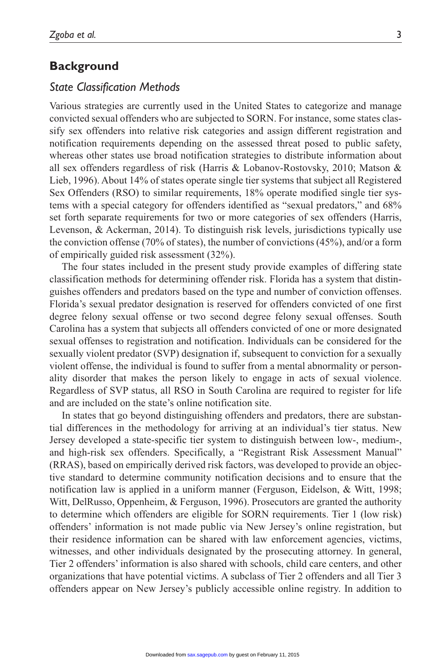# **Background**

#### *State Classification Methods*

Various strategies are currently used in the United States to categorize and manage convicted sexual offenders who are subjected to SORN. For instance, some states classify sex offenders into relative risk categories and assign different registration and notification requirements depending on the assessed threat posed to public safety, whereas other states use broad notification strategies to distribute information about all sex offenders regardless of risk (Harris & Lobanov-Rostovsky, 2010; Matson & Lieb, 1996). About 14% of states operate single tier systems that subject all Registered Sex Offenders (RSO) to similar requirements, 18% operate modified single tier systems with a special category for offenders identified as "sexual predators," and 68% set forth separate requirements for two or more categories of sex offenders (Harris, Levenson, & Ackerman, 2014). To distinguish risk levels, jurisdictions typically use the conviction offense (70% of states), the number of convictions (45%), and/or a form of empirically guided risk assessment (32%).

The four states included in the present study provide examples of differing state classification methods for determining offender risk. Florida has a system that distinguishes offenders and predators based on the type and number of conviction offenses. Florida's sexual predator designation is reserved for offenders convicted of one first degree felony sexual offense or two second degree felony sexual offenses. South Carolina has a system that subjects all offenders convicted of one or more designated sexual offenses to registration and notification. Individuals can be considered for the sexually violent predator (SVP) designation if, subsequent to conviction for a sexually violent offense, the individual is found to suffer from a mental abnormality or personality disorder that makes the person likely to engage in acts of sexual violence. Regardless of SVP status, all RSO in South Carolina are required to register for life and are included on the state's online notification site.

In states that go beyond distinguishing offenders and predators, there are substantial differences in the methodology for arriving at an individual's tier status. New Jersey developed a state-specific tier system to distinguish between low-, medium-, and high-risk sex offenders. Specifically, a "Registrant Risk Assessment Manual" (RRAS), based on empirically derived risk factors, was developed to provide an objective standard to determine community notification decisions and to ensure that the notification law is applied in a uniform manner (Ferguson, Eidelson, & Witt, 1998; Witt, DelRusso, Oppenheim, & Ferguson, 1996). Prosecutors are granted the authority to determine which offenders are eligible for SORN requirements. Tier 1 (low risk) offenders' information is not made public via New Jersey's online registration, but their residence information can be shared with law enforcement agencies, victims, witnesses, and other individuals designated by the prosecuting attorney. In general, Tier 2 offenders' information is also shared with schools, child care centers, and other organizations that have potential victims. A subclass of Tier 2 offenders and all Tier 3 offenders appear on New Jersey's publicly accessible online registry. In addition to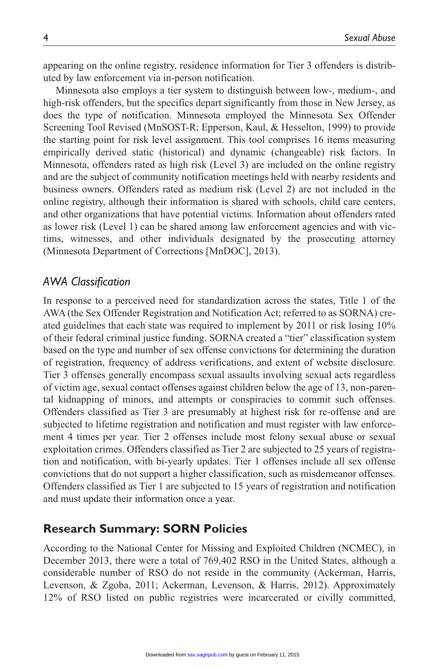appearing on the online registry, residence information for Tier 3 offenders is distributed by law enforcement via in-person notification.

Minnesota also employs a tier system to distinguish between low-, medium-, and high-risk offenders, but the specifics depart significantly from those in New Jersey, as does the type of notification. Minnesota employed the Minnesota Sex Offender Screening Tool Revised (MnSOST-R; Epperson, Kaul, & Hesselton, 1999) to provide the starting point for risk level assignment. This tool comprises 16 items measuring empirically derived static (historical) and dynamic (changeable) risk factors. In Minnesota, offenders rated as high risk (Level 3) are included on the online registry and are the subject of community notification meetings held with nearby residents and business owners. Offenders rated as medium risk (Level 2) are not included in the online registry, although their information is shared with schools, child care centers, and other organizations that have potential victims. Information about offenders rated as lower risk (Level 1) can be shared among law enforcement agencies and with victims, witnesses, and other individuals designated by the prosecuting attorney (Minnesota Department of Corrections [MnDOC], 2013).

#### *AWA Classification*

In response to a perceived need for standardization across the states, Title 1 of the AWA (the Sex Offender Registration and Notification Act; referred to as SORNA) created guidelines that each state was required to implement by 2011 or risk losing 10% of their federal criminal justice funding. SORNA created a "tier" classification system based on the type and number of sex offense convictions for determining the duration of registration, frequency of address verifications, and extent of website disclosure. Tier 3 offenses generally encompass sexual assaults involving sexual acts regardless of victim age, sexual contact offenses against children below the age of 13, non-parental kidnapping of minors, and attempts or conspiracies to commit such offenses. Offenders classified as Tier 3 are presumably at highest risk for re-offense and are subjected to lifetime registration and notification and must register with law enforcement 4 times per year. Tier 2 offenses include most felony sexual abuse or sexual exploitation crimes. Offenders classified as Tier 2 are subjected to 25 years of registration and notification, with bi-yearly updates. Tier 1 offenses include all sex offense convictions that do not support a higher classification, such as misdemeanor offenses. Offenders classified as Tier 1 are subjected to 15 years of registration and notification and must update their information once a year.

# **Research Summary: SORN Policies**

According to the National Center for Missing and Exploited Children (NCMEC), in December 2013, there were a total of 769,402 RSO in the United States, although a considerable number of RSO do not reside in the community (Ackerman, Harris, Levenson, & Zgoba, 2011; Ackerman, Levenson, & Harris, 2012). Approximately 12% of RSO listed on public registries were incarcerated or civilly committed,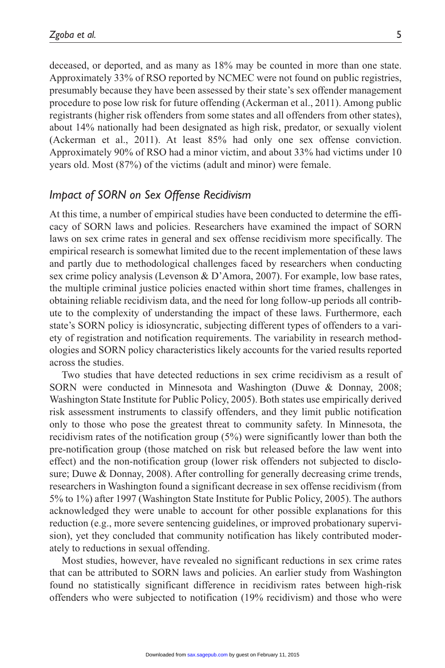deceased, or deported, and as many as 18% may be counted in more than one state. Approximately 33% of RSO reported by NCMEC were not found on public registries, presumably because they have been assessed by their state's sex offender management procedure to pose low risk for future offending (Ackerman et al., 2011). Among public registrants (higher risk offenders from some states and all offenders from other states), about 14% nationally had been designated as high risk, predator, or sexually violent (Ackerman et al., 2011). At least 85% had only one sex offense conviction. Approximately 90% of RSO had a minor victim, and about 33% had victims under 10 years old. Most (87%) of the victims (adult and minor) were female.

# *Impact of SORN on Sex Offense Recidivism*

At this time, a number of empirical studies have been conducted to determine the efficacy of SORN laws and policies. Researchers have examined the impact of SORN laws on sex crime rates in general and sex offense recidivism more specifically. The empirical research is somewhat limited due to the recent implementation of these laws and partly due to methodological challenges faced by researchers when conducting sex crime policy analysis (Levenson & D'Amora, 2007). For example, low base rates, the multiple criminal justice policies enacted within short time frames, challenges in obtaining reliable recidivism data, and the need for long follow-up periods all contribute to the complexity of understanding the impact of these laws. Furthermore, each state's SORN policy is idiosyncratic, subjecting different types of offenders to a variety of registration and notification requirements. The variability in research methodologies and SORN policy characteristics likely accounts for the varied results reported across the studies.

Two studies that have detected reductions in sex crime recidivism as a result of SORN were conducted in Minnesota and Washington (Duwe & Donnay, 2008; Washington State Institute for Public Policy, 2005). Both states use empirically derived risk assessment instruments to classify offenders, and they limit public notification only to those who pose the greatest threat to community safety. In Minnesota, the recidivism rates of the notification group (5%) were significantly lower than both the pre-notification group (those matched on risk but released before the law went into effect) and the non-notification group (lower risk offenders not subjected to disclosure; Duwe & Donnay, 2008). After controlling for generally decreasing crime trends, researchers in Washington found a significant decrease in sex offense recidivism (from 5% to 1%) after 1997 (Washington State Institute for Public Policy, 2005). The authors acknowledged they were unable to account for other possible explanations for this reduction (e.g., more severe sentencing guidelines, or improved probationary supervision), yet they concluded that community notification has likely contributed moderately to reductions in sexual offending.

Most studies, however, have revealed no significant reductions in sex crime rates that can be attributed to SORN laws and policies. An earlier study from Washington found no statistically significant difference in recidivism rates between high-risk offenders who were subjected to notification (19% recidivism) and those who were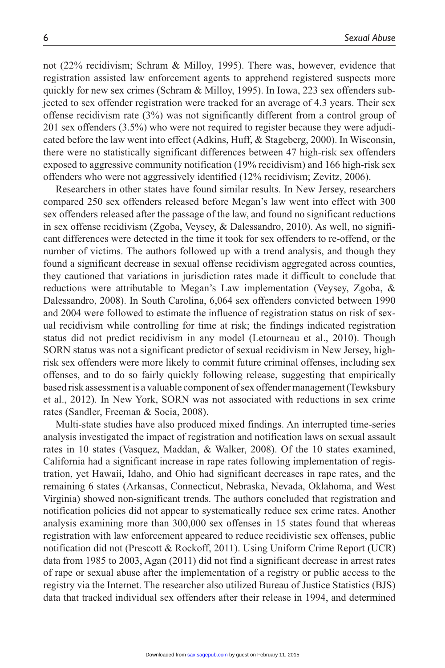not (22% recidivism; Schram & Milloy, 1995). There was, however, evidence that registration assisted law enforcement agents to apprehend registered suspects more quickly for new sex crimes (Schram & Milloy, 1995). In Iowa, 223 sex offenders subjected to sex offender registration were tracked for an average of 4.3 years. Their sex offense recidivism rate (3%) was not significantly different from a control group of 201 sex offenders (3.5%) who were not required to register because they were adjudicated before the law went into effect (Adkins, Huff, & Stageberg, 2000). In Wisconsin, there were no statistically significant differences between 47 high-risk sex offenders exposed to aggressive community notification (19% recidivism) and 166 high-risk sex offenders who were not aggressively identified (12% recidivism; Zevitz, 2006).

Researchers in other states have found similar results. In New Jersey, researchers compared 250 sex offenders released before Megan's law went into effect with 300 sex offenders released after the passage of the law, and found no significant reductions in sex offense recidivism (Zgoba, Veysey, & Dalessandro, 2010). As well, no significant differences were detected in the time it took for sex offenders to re-offend, or the number of victims. The authors followed up with a trend analysis, and though they found a significant decrease in sexual offense recidivism aggregated across counties, they cautioned that variations in jurisdiction rates made it difficult to conclude that reductions were attributable to Megan's Law implementation (Veysey, Zgoba, & Dalessandro, 2008). In South Carolina, 6,064 sex offenders convicted between 1990 and 2004 were followed to estimate the influence of registration status on risk of sexual recidivism while controlling for time at risk; the findings indicated registration status did not predict recidivism in any model (Letourneau et al., 2010). Though SORN status was not a significant predictor of sexual recidivism in New Jersey, highrisk sex offenders were more likely to commit future criminal offenses, including sex offenses, and to do so fairly quickly following release, suggesting that empirically based risk assessment is a valuable component of sex offender management (Tewksbury et al., 2012). In New York, SORN was not associated with reductions in sex crime rates (Sandler, Freeman & Socia, 2008).

Multi-state studies have also produced mixed findings. An interrupted time-series analysis investigated the impact of registration and notification laws on sexual assault rates in 10 states (Vasquez, Maddan, & Walker, 2008). Of the 10 states examined, California had a significant increase in rape rates following implementation of registration, yet Hawaii, Idaho, and Ohio had significant decreases in rape rates, and the remaining 6 states (Arkansas, Connecticut, Nebraska, Nevada, Oklahoma, and West Virginia) showed non-significant trends. The authors concluded that registration and notification policies did not appear to systematically reduce sex crime rates. Another analysis examining more than 300,000 sex offenses in 15 states found that whereas registration with law enforcement appeared to reduce recidivistic sex offenses, public notification did not (Prescott & Rockoff, 2011). Using Uniform Crime Report (UCR) data from 1985 to 2003, Agan (2011) did not find a significant decrease in arrest rates of rape or sexual abuse after the implementation of a registry or public access to the registry via the Internet. The researcher also utilized Bureau of Justice Statistics (BJS) data that tracked individual sex offenders after their release in 1994, and determined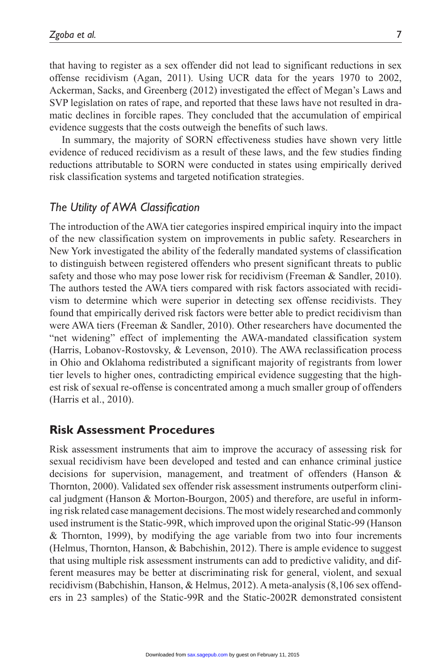that having to register as a sex offender did not lead to significant reductions in sex offense recidivism (Agan, 2011). Using UCR data for the years 1970 to 2002, Ackerman, Sacks, and Greenberg (2012) investigated the effect of Megan's Laws and SVP legislation on rates of rape, and reported that these laws have not resulted in dramatic declines in forcible rapes. They concluded that the accumulation of empirical evidence suggests that the costs outweigh the benefits of such laws.

In summary, the majority of SORN effectiveness studies have shown very little evidence of reduced recidivism as a result of these laws, and the few studies finding reductions attributable to SORN were conducted in states using empirically derived risk classification systems and targeted notification strategies.

# *The Utility of AWA Classification*

The introduction of the AWA tier categories inspired empirical inquiry into the impact of the new classification system on improvements in public safety. Researchers in New York investigated the ability of the federally mandated systems of classification to distinguish between registered offenders who present significant threats to public safety and those who may pose lower risk for recidivism (Freeman & Sandler, 2010). The authors tested the AWA tiers compared with risk factors associated with recidivism to determine which were superior in detecting sex offense recidivists. They found that empirically derived risk factors were better able to predict recidivism than were AWA tiers (Freeman & Sandler, 2010). Other researchers have documented the "net widening" effect of implementing the AWA-mandated classification system (Harris, Lobanov-Rostovsky, & Levenson, 2010). The AWA reclassification process in Ohio and Oklahoma redistributed a significant majority of registrants from lower tier levels to higher ones, contradicting empirical evidence suggesting that the highest risk of sexual re-offense is concentrated among a much smaller group of offenders (Harris et al., 2010).

# **Risk Assessment Procedures**

Risk assessment instruments that aim to improve the accuracy of assessing risk for sexual recidivism have been developed and tested and can enhance criminal justice decisions for supervision, management, and treatment of offenders (Hanson & Thornton, 2000). Validated sex offender risk assessment instruments outperform clinical judgment (Hanson & Morton-Bourgon, 2005) and therefore, are useful in informing risk related case management decisions. The most widely researched and commonly used instrument is the Static-99R, which improved upon the original Static-99 (Hanson & Thornton, 1999), by modifying the age variable from two into four increments (Helmus, Thornton, Hanson, & Babchishin, 2012). There is ample evidence to suggest that using multiple risk assessment instruments can add to predictive validity, and different measures may be better at discriminating risk for general, violent, and sexual recidivism (Babchishin, Hanson, & Helmus, 2012). A meta-analysis (8,106 sex offenders in 23 samples) of the Static-99R and the Static-2002R demonstrated consistent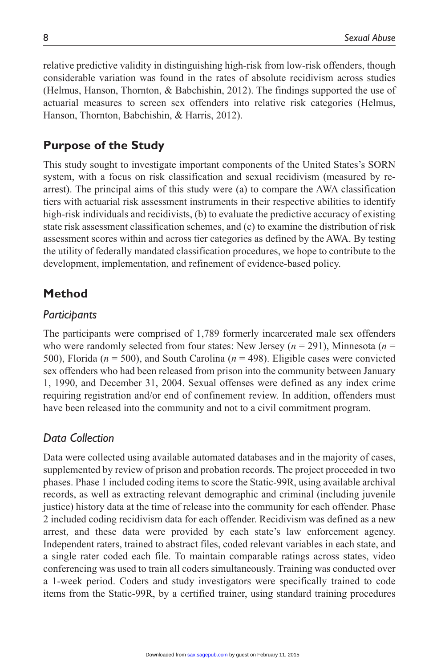relative predictive validity in distinguishing high-risk from low-risk offenders, though considerable variation was found in the rates of absolute recidivism across studies (Helmus, Hanson, Thornton, & Babchishin, 2012). The findings supported the use of actuarial measures to screen sex offenders into relative risk categories (Helmus, Hanson, Thornton, Babchishin, & Harris, 2012).

# **Purpose of the Study**

This study sought to investigate important components of the United States's SORN system, with a focus on risk classification and sexual recidivism (measured by rearrest). The principal aims of this study were (a) to compare the AWA classification tiers with actuarial risk assessment instruments in their respective abilities to identify high-risk individuals and recidivists, (b) to evaluate the predictive accuracy of existing state risk assessment classification schemes, and (c) to examine the distribution of risk assessment scores within and across tier categories as defined by the AWA. By testing the utility of federally mandated classification procedures, we hope to contribute to the development, implementation, and refinement of evidence-based policy.

# **Method**

#### *Participants*

The participants were comprised of 1,789 formerly incarcerated male sex offenders who were randomly selected from four states: New Jersey (*n* = 291), Minnesota (*n* = 500), Florida (*n* = 500), and South Carolina (*n* = 498). Eligible cases were convicted sex offenders who had been released from prison into the community between January 1, 1990, and December 31, 2004. Sexual offenses were defined as any index crime requiring registration and/or end of confinement review. In addition, offenders must have been released into the community and not to a civil commitment program.

#### *Data Collection*

Data were collected using available automated databases and in the majority of cases, supplemented by review of prison and probation records. The project proceeded in two phases. Phase 1 included coding items to score the Static-99R, using available archival records, as well as extracting relevant demographic and criminal (including juvenile justice) history data at the time of release into the community for each offender. Phase 2 included coding recidivism data for each offender. Recidivism was defined as a new arrest, and these data were provided by each state's law enforcement agency. Independent raters, trained to abstract files, coded relevant variables in each state, and a single rater coded each file. To maintain comparable ratings across states, video conferencing was used to train all coders simultaneously. Training was conducted over a 1-week period. Coders and study investigators were specifically trained to code items from the Static-99R, by a certified trainer, using standard training procedures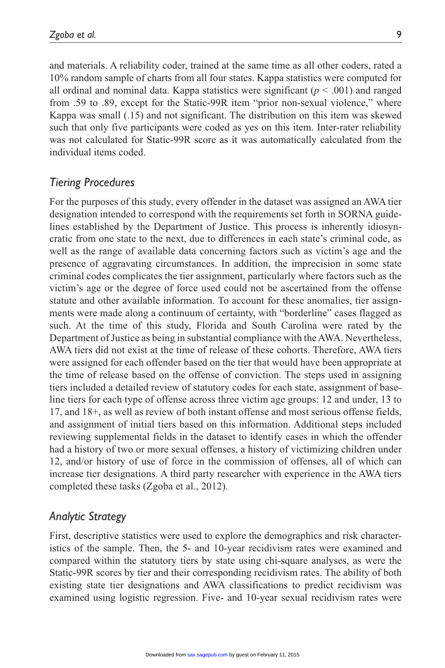and materials. A reliability coder, trained at the same time as all other coders, rated a 10% random sample of charts from all four states. Kappa statistics were computed for all ordinal and nominal data. Kappa statistics were significant  $(p < .001)$  and ranged from .59 to .89, except for the Static-99R item "prior non-sexual violence," where Kappa was small (.15) and not significant. The distribution on this item was skewed such that only five participants were coded as yes on this item. Inter-rater reliability was not calculated for Static-99R score as it was automatically calculated from the individual items coded.

# *Tiering Procedures*

For the purposes of this study, every offender in the dataset was assigned an AWA tier designation intended to correspond with the requirements set forth in SORNA guidelines established by the Department of Justice. This process is inherently idiosyncratic from one state to the next, due to differences in each state's criminal code, as well as the range of available data concerning factors such as victim's age and the presence of aggravating circumstances. In addition, the imprecision in some state criminal codes complicates the tier assignment, particularly where factors such as the victim's age or the degree of force used could not be ascertained from the offense statute and other available information. To account for these anomalies, tier assignments were made along a continuum of certainty, with "borderline" cases flagged as such. At the time of this study, Florida and South Carolina were rated by the Department of Justice as being in substantial compliance with the AWA. Nevertheless, AWA tiers did not exist at the time of release of these cohorts. Therefore, AWA tiers were assigned for each offender based on the tier that would have been appropriate at the time of release based on the offense of conviction. The steps used in assigning tiers included a detailed review of statutory codes for each state, assignment of baseline tiers for each type of offense across three victim age groups: 12 and under, 13 to 17, and 18+, as well as review of both instant offense and most serious offense fields, and assignment of initial tiers based on this information. Additional steps included reviewing supplemental fields in the dataset to identify cases in which the offender had a history of two or more sexual offenses, a history of victimizing children under 12, and/or history of use of force in the commission of offenses, all of which can increase tier designations. A third party researcher with experience in the AWA tiers completed these tasks (Zgoba et al., 2012).

# *Analytic Strategy*

First, descriptive statistics were used to explore the demographics and risk characteristics of the sample. Then, the 5- and 10-year recidivism rates were examined and compared within the statutory tiers by state using chi-square analyses, as were the Static-99R scores by tier and their corresponding recidivism rates. The ability of both existing state tier designations and AWA classifications to predict recidivism was examined using logistic regression. Five- and 10-year sexual recidivism rates were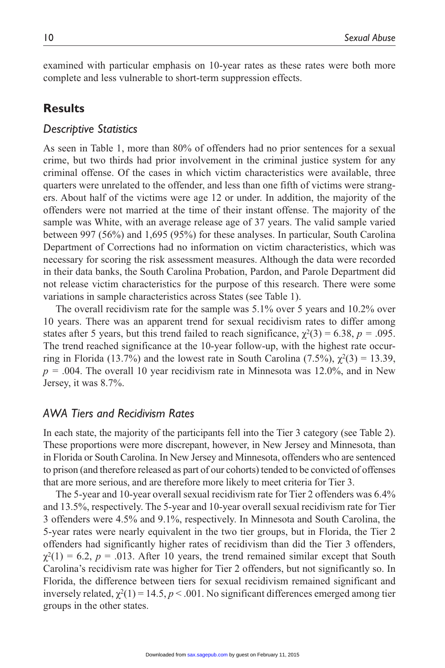examined with particular emphasis on 10-year rates as these rates were both more complete and less vulnerable to short-term suppression effects.

# **Results**

#### *Descriptive Statistics*

As seen in Table 1, more than 80% of offenders had no prior sentences for a sexual crime, but two thirds had prior involvement in the criminal justice system for any criminal offense. Of the cases in which victim characteristics were available, three quarters were unrelated to the offender, and less than one fifth of victims were strangers. About half of the victims were age 12 or under. In addition, the majority of the offenders were not married at the time of their instant offense. The majority of the sample was White, with an average release age of 37 years. The valid sample varied between 997 (56%) and 1,695 (95%) for these analyses. In particular, South Carolina Department of Corrections had no information on victim characteristics, which was necessary for scoring the risk assessment measures. Although the data were recorded in their data banks, the South Carolina Probation, Pardon, and Parole Department did not release victim characteristics for the purpose of this research. There were some variations in sample characteristics across States (see Table 1).

The overall recidivism rate for the sample was 5.1% over 5 years and 10.2% over 10 years. There was an apparent trend for sexual recidivism rates to differ among states after 5 years, but this trend failed to reach significance,  $\chi^2(3) = 6.38$ ,  $p = .095$ . The trend reached significance at the 10-year follow-up, with the highest rate occurring in Florida (13.7%) and the lowest rate in South Carolina (7.5%),  $\chi^2(3) = 13.39$ , *p =* .004. The overall 10 year recidivism rate in Minnesota was 12.0%, and in New Jersey, it was 8.7%.

# *AWA Tiers and Recidivism Rates*

In each state, the majority of the participants fell into the Tier 3 category (see Table 2). These proportions were more discrepant, however, in New Jersey and Minnesota, than in Florida or South Carolina. In New Jersey and Minnesota, offenders who are sentenced to prison (and therefore released as part of our cohorts) tended to be convicted of offenses that are more serious, and are therefore more likely to meet criteria for Tier 3.

The 5-year and 10-year overall sexual recidivism rate for Tier 2 offenders was 6.4% and 13.5%, respectively. The 5-year and 10-year overall sexual recidivism rate for Tier 3 offenders were 4.5% and 9.1%, respectively. In Minnesota and South Carolina, the 5-year rates were nearly equivalent in the two tier groups, but in Florida, the Tier 2 offenders had significantly higher rates of recidivism than did the Tier 3 offenders,  $\chi^2(1) = 6.2$ ,  $p = .013$ . After 10 years, the trend remained similar except that South Carolina's recidivism rate was higher for Tier 2 offenders, but not significantly so. In Florida, the difference between tiers for sexual recidivism remained significant and inversely related,  $\chi^2(1) = 14.5$ ,  $p < .001$ . No significant differences emerged among tier groups in the other states.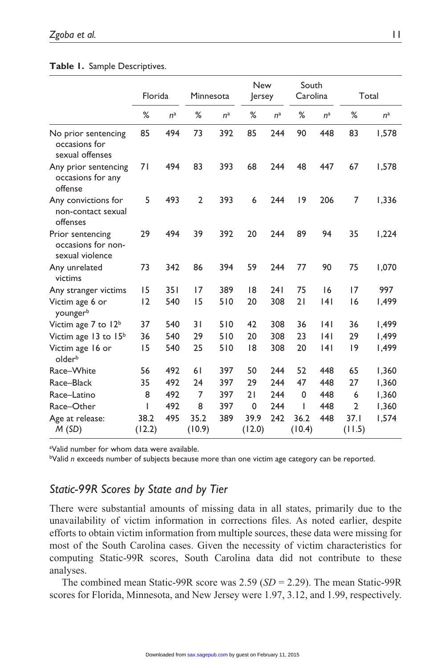#### **Table 1.** Sample Descriptives.

|                                                           | Florida        |       | Minnesota      |                | <b>New</b><br>ersey |                | South<br>Carolina |                | Total          |       |
|-----------------------------------------------------------|----------------|-------|----------------|----------------|---------------------|----------------|-------------------|----------------|----------------|-------|
|                                                           | %              | $n^a$ | %              | n <sup>a</sup> | %                   | n <sup>a</sup> | %                 | n <sup>a</sup> | %              | $n^a$ |
| No prior sentencing<br>occasions for<br>sexual offenses   | 85             | 494   | 73             | 392            | 85                  | 244            | 90                | 448            | 83             | 1,578 |
| Any prior sentencing<br>occasions for any<br>offense      | 71             | 494   | 83             | 393            | 68                  | 244            | 48                | 447            | 67             | 1,578 |
| Any convictions for<br>non-contact sexual<br>offenses     | 5              | 493   | $\overline{2}$ | 393            | 6                   | 244            | 19                | 206            | 7              | 1,336 |
| Prior sentencing<br>occasions for non-<br>sexual violence | 29             | 494   | 39             | 392            | 20                  | 244            | 89                | 94             | 35             | 1,224 |
| Any unrelated<br>victims                                  | 73             | 342   | 86             | 394            | 59                  | 244            | 77                | 90             | 75             | 1,070 |
| Any stranger victims                                      | 15             | 351   | 17             | 389            | 18                  | 241            | 75                | 16             | 17             | 997   |
| Victim age 6 or<br>youngerb                               | 12             | 540   | 15             | 510            | 20                  | 308            | 21                | 4              | 16             | 1,499 |
| Victim age 7 to 12 <sup>b</sup>                           | 37             | 540   | 31             | 510            | 42                  | 308            | 36                | 4              | 36             | 1,499 |
| Victim age 13 to 15 <sup>b</sup>                          | 36             | 540   | 29             | 510            | 20                  | 308            | 23                | 141            | 29             | 1,499 |
| Victim age 16 or<br>olderb                                | 15             | 540   | 25             | 510            | 18                  | 308            | 20                | 4              | 9              | 1,499 |
| Race-White                                                | 56             | 492   | 61             | 397            | 50                  | 244            | 52                | 448            | 65             | 1,360 |
| Race-Black                                                | 35             | 492   | 24             | 397            | 29                  | 244            | 47                | 448            | 27             | 1,360 |
| Race-Latino                                               | 8              | 492   | 7              | 397            | 21                  | 244            | $\Omega$          | 448            | 6              | 1,360 |
| Race-Other                                                | ı              | 492   | 8              | 397            | $\mathbf 0$         | 244            |                   | 448            | $\overline{2}$ | 1,360 |
| Age at release:<br>M(SD)                                  | 38.2<br>(12.2) | 495   | 35.2<br>(10.9) | 389            | 39.9<br>(12.0)      | 242            | 36.2<br>(10.4)    | 448            | 37.1<br>(11.5) | 1,574 |

a Valid number for whom data were available.

bValid *n* exceeds number of subjects because more than one victim age category can be reported.

# *Static-99R Scores by State and by Tier*

There were substantial amounts of missing data in all states, primarily due to the unavailability of victim information in corrections files. As noted earlier, despite efforts to obtain victim information from multiple sources, these data were missing for most of the South Carolina cases. Given the necessity of victim characteristics for computing Static-99R scores, South Carolina data did not contribute to these analyses.

The combined mean Static-99R score was 2.59 (*SD* = 2.29). The mean Static-99R scores for Florida, Minnesota, and New Jersey were 1.97, 3.12, and 1.99, respectively.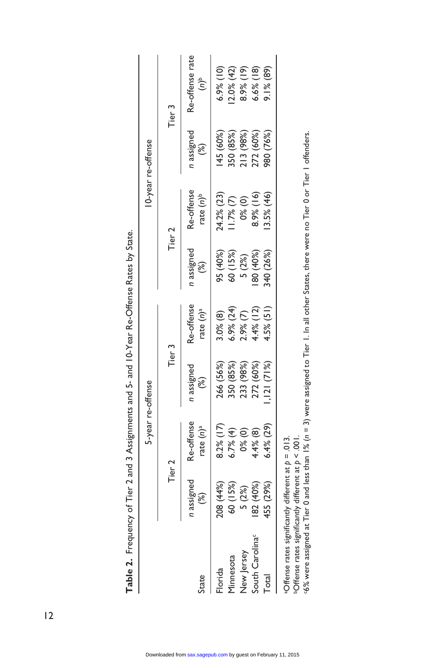|                                                                                                                                                                                                                                                                    |                           |                                       | 5-year re-offense |                                       |                  |                                       | 10-year re-offense     |                                     |
|--------------------------------------------------------------------------------------------------------------------------------------------------------------------------------------------------------------------------------------------------------------------|---------------------------|---------------------------------------|-------------------|---------------------------------------|------------------|---------------------------------------|------------------------|-------------------------------------|
|                                                                                                                                                                                                                                                                    | Tier <sub>2</sub>         |                                       | Tier 3            |                                       |                  | Tier 2                                |                        | Tier 3                              |
| State                                                                                                                                                                                                                                                              | assigned<br>$\mathcal{E}$ | Re-offense<br>rate $(n)$ <sup>a</sup> | n assigned<br>ි)  | Re-offense<br>rate $(n)$ <sup>a</sup> | n assigned<br>ි) | Re-offense<br>rate $(n)$ <sup>b</sup> | n assigned<br><u>ී</u> | Re-offense rate<br>$\epsilon^{(u)}$ |
| Florida                                                                                                                                                                                                                                                            | 208 (44%)                 | 8.2%(17)                              | 266 (56%)         | 3.0% (8)                              | 95 (40%)         | 24.2% (23)                            | 145 (60%)              | $6.9%$ (10)                         |
| Minnesota                                                                                                                                                                                                                                                          | 60 (15%)                  | 6.7%(4)                               | 350 (85%)         | $6.9\%$ (24)                          | 60 (15%)         | $1.7%$ (7)                            | 350 (85%)              | $2.0\%$ (42)                        |
| New Jersey                                                                                                                                                                                                                                                         | 5(2%)                     | 0% (0)                                | 233 (98%)         | $2.9%$ (7)                            | 5 (2%)           | 0%(0)                                 | 213 (98%)              | $8.9%$ (19)                         |
| South Carolina <sup>c</sup>                                                                                                                                                                                                                                        | 82 (40%)                  | 4.4% (8)                              | 272 (60%)         | $4.4\%$ (12)                          | 80 (40%)         | 8.9%(16)                              | 272 (60%)              | $6.6%$ (18)                         |
| Total                                                                                                                                                                                                                                                              | 155 (29%)                 | $6.4\%$ (29)                          | , 121(71%)        | $4.5%$ (51)                           | 840 (26%)        | 3.5% (46)                             | 980 (76%)              | $9.1\%$ (89)                        |
| G% were assigned at Tier 0 and less than 1% (n = 3) were assigned to Tier 1. In all other States, there were no Tier 0 or Tier 1 offenders.<br>aOffense rates significantly different at $p = .013$ .<br>$50$ ffense rates significantly different at $p < .001$ . |                           |                                       |                   |                                       |                  |                                       |                        |                                     |

Table 2. Frequency of Tier 2 and 3 Assignments and 5- and 10-Year Re-Offense Rates by State. **Table 2.** Frequency of Tier 2 and 3 Assignments and 5- and 10-Year Re-Offense Rates by State.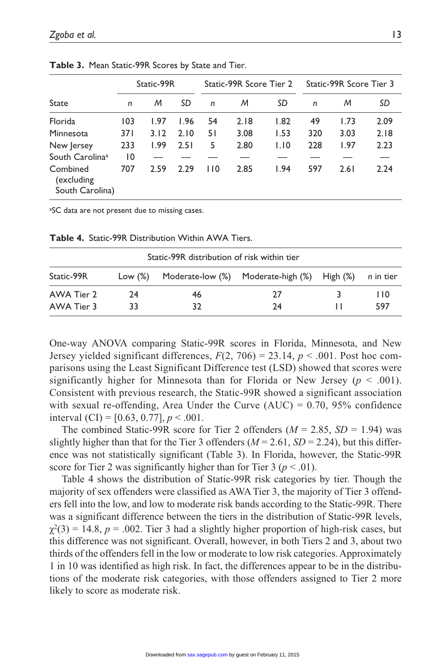|                                           | Static-99R |      |      |     | Static-99R Score Tier 2 |      | Static-99R Score Tier 3 |      |      |
|-------------------------------------------|------------|------|------|-----|-------------------------|------|-------------------------|------|------|
| State                                     | n          | M    | SD   | n   | M                       | SD   | $\mathsf{n}$            | M    | SD   |
| Florida                                   | 103        | 1.97 | 1.96 | 54  | 2.18                    | 1.82 | 49                      | 1.73 | 2.09 |
| Minnesota                                 | 371        | 3.12 | 2.10 | 51  | 3.08                    | 1.53 | 320                     | 3.03 | 2.18 |
| New Jersey                                | 233        | 1.99 | 2.51 | 5   | 2.80                    | 1.10 | 228                     | 1.97 | 2.23 |
| South Carolina <sup>a</sup>               | 10         |      |      |     |                         |      |                         |      |      |
| Combined<br>(excluding<br>South Carolina) | 707        | 2.59 | 2.29 | 110 | 2.85                    | 1.94 | 597                     | 2.61 | 2.24 |

**Table 3.** Mean Static-99R Scores by State and Tier.

<sup>a</sup>SC data are not present due to missing cases.

| Static-99R distribution of risk within tier |         |    |                                                       |  |     |  |  |  |  |  |
|---------------------------------------------|---------|----|-------------------------------------------------------|--|-----|--|--|--|--|--|
| Static-99R                                  | Low (%) |    | Moderate-low (%) Moderate-high (%) High (%) n in tier |  |     |  |  |  |  |  |
| AWA Tier 2                                  | 24      | 46 | 27                                                    |  | 110 |  |  |  |  |  |
| AWA Tier 3                                  | 33      | 32 | 24                                                    |  | 597 |  |  |  |  |  |

**Table 4.** Static-99R Distribution Within AWA Tiers.

One-way ANOVA comparing Static-99R scores in Florida, Minnesota, and New Jersey yielded significant differences,  $F(2, 706) = 23.14$ ,  $p < .001$ . Post hoc comparisons using the Least Significant Difference test (LSD) showed that scores were significantly higher for Minnesota than for Florida or New Jersey ( $p < .001$ ). Consistent with previous research, the Static-99R showed a significant association with sexual re-offending, Area Under the Curve  $(AUC) = 0.70$ , 95% confidence interval  $(CI) = [0.63, 0.77], p < .001$ .

The combined Static-99R score for Tier 2 offenders  $(M = 2.85, SD = 1.94)$  was slightly higher than that for the Tier 3 offenders ( $M = 2.61$ ,  $SD = 2.24$ ), but this difference was not statistically significant (Table 3). In Florida, however, the Static-99R score for Tier 2 was significantly higher than for Tier 3 ( $p < .01$ ).

Table 4 shows the distribution of Static-99R risk categories by tier. Though the majority of sex offenders were classified as AWA Tier 3, the majority of Tier 3 offenders fell into the low, and low to moderate risk bands according to the Static-99R. There was a significant difference between the tiers in the distribution of Static-99R levels,  $\gamma^2(3) = 14.8$ ,  $p = .002$ . Tier 3 had a slightly higher proportion of high-risk cases, but this difference was not significant. Overall, however, in both Tiers 2 and 3, about two thirds of the offenders fell in the low or moderate to low risk categories. Approximately 1 in 10 was identified as high risk. In fact, the differences appear to be in the distributions of the moderate risk categories, with those offenders assigned to Tier 2 more likely to score as moderate risk.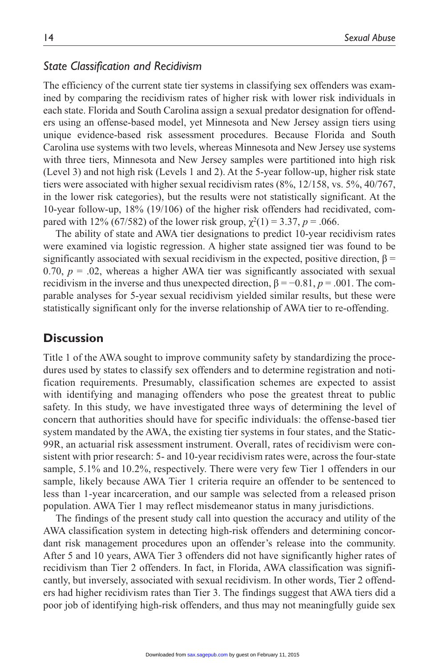## *State Classification and Recidivism*

The efficiency of the current state tier systems in classifying sex offenders was examined by comparing the recidivism rates of higher risk with lower risk individuals in each state. Florida and South Carolina assign a sexual predator designation for offenders using an offense-based model, yet Minnesota and New Jersey assign tiers using unique evidence-based risk assessment procedures. Because Florida and South Carolina use systems with two levels, whereas Minnesota and New Jersey use systems with three tiers, Minnesota and New Jersey samples were partitioned into high risk (Level 3) and not high risk (Levels 1 and 2). At the 5-year follow-up, higher risk state tiers were associated with higher sexual recidivism rates (8%, 12/158, vs. 5%, 40/767, in the lower risk categories), but the results were not statistically significant. At the 10-year follow-up, 18% (19/106) of the higher risk offenders had recidivated, compared with 12% (67/582) of the lower risk group,  $\chi^2(1) = 3.37$ ,  $p = .066$ .

The ability of state and AWA tier designations to predict 10-year recidivism rates were examined via logistic regression. A higher state assigned tier was found to be significantly associated with sexual recidivism in the expected, positive direction,  $\beta$  = 0.70,  $p = 0.02$ , whereas a higher AWA tier was significantly associated with sexual recidivism in the inverse and thus unexpected direction, β = −0.81, *p* = .001. The comparable analyses for 5-year sexual recidivism yielded similar results, but these were statistically significant only for the inverse relationship of AWA tier to re-offending.

#### **Discussion**

Title 1 of the AWA sought to improve community safety by standardizing the procedures used by states to classify sex offenders and to determine registration and notification requirements. Presumably, classification schemes are expected to assist with identifying and managing offenders who pose the greatest threat to public safety. In this study, we have investigated three ways of determining the level of concern that authorities should have for specific individuals: the offense-based tier system mandated by the AWA, the existing tier systems in four states, and the Static-99R, an actuarial risk assessment instrument. Overall, rates of recidivism were consistent with prior research: 5- and 10-year recidivism rates were, across the four-state sample, 5.1% and 10.2%, respectively. There were very few Tier 1 offenders in our sample, likely because AWA Tier 1 criteria require an offender to be sentenced to less than 1-year incarceration, and our sample was selected from a released prison population. AWA Tier 1 may reflect misdemeanor status in many jurisdictions.

The findings of the present study call into question the accuracy and utility of the AWA classification system in detecting high-risk offenders and determining concordant risk management procedures upon an offender's release into the community. After 5 and 10 years, AWA Tier 3 offenders did not have significantly higher rates of recidivism than Tier 2 offenders. In fact, in Florida, AWA classification was significantly, but inversely, associated with sexual recidivism. In other words, Tier 2 offenders had higher recidivism rates than Tier 3. The findings suggest that AWA tiers did a poor job of identifying high-risk offenders, and thus may not meaningfully guide sex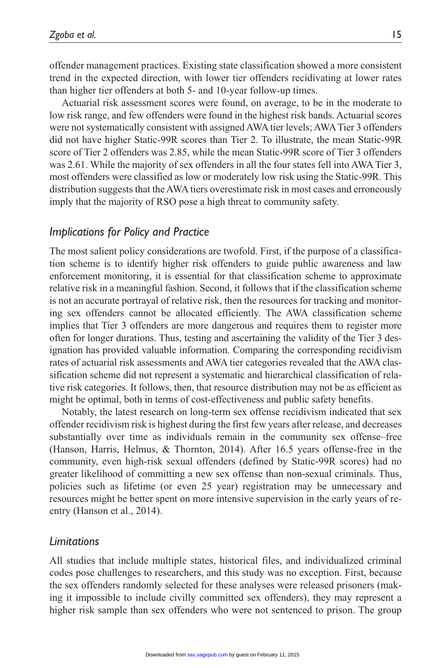offender management practices. Existing state classification showed a more consistent trend in the expected direction, with lower tier offenders recidivating at lower rates than higher tier offenders at both 5- and 10-year follow-up times.

Actuarial risk assessment scores were found, on average, to be in the moderate to low risk range, and few offenders were found in the highest risk bands. Actuarial scores were not systematically consistent with assigned AWA tier levels; AWA Tier 3 offenders did not have higher Static-99R scores than Tier 2. To illustrate, the mean Static-99R score of Tier 2 offenders was 2.85, while the mean Static-99R score of Tier 3 offenders was 2.61. While the majority of sex offenders in all the four states fell into AWA Tier 3, most offenders were classified as low or moderately low risk using the Static-99R. This distribution suggests that the AWA tiers overestimate risk in most cases and erroneously imply that the majority of RSO pose a high threat to community safety.

# *Implications for Policy and Practice*

The most salient policy considerations are twofold. First, if the purpose of a classification scheme is to identify higher risk offenders to guide public awareness and law enforcement monitoring, it is essential for that classification scheme to approximate relative risk in a meaningful fashion. Second, it follows that if the classification scheme is not an accurate portrayal of relative risk, then the resources for tracking and monitoring sex offenders cannot be allocated efficiently. The AWA classification scheme implies that Tier 3 offenders are more dangerous and requires them to register more often for longer durations. Thus, testing and ascertaining the validity of the Tier 3 designation has provided valuable information. Comparing the corresponding recidivism rates of actuarial risk assessments and AWA tier categories revealed that the AWA classification scheme did not represent a systematic and hierarchical classification of relative risk categories. It follows, then, that resource distribution may not be as efficient as might be optimal, both in terms of cost-effectiveness and public safety benefits.

Notably, the latest research on long-term sex offense recidivism indicated that sex offender recidivism risk is highest during the first few years after release, and decreases substantially over time as individuals remain in the community sex offense–free (Hanson, Harris, Helmus, & Thornton, 2014). After 16.5 years offense-free in the community, even high-risk sexual offenders (defined by Static-99R scores) had no greater likelihood of committing a new sex offense than non-sexual criminals. Thus, policies such as lifetime (or even 25 year) registration may be unnecessary and resources might be better spent on more intensive supervision in the early years of reentry (Hanson et al., 2014).

# *Limitations*

All studies that include multiple states, historical files, and individualized criminal codes pose challenges to researchers, and this study was no exception. First, because the sex offenders randomly selected for these analyses were released prisoners (making it impossible to include civilly committed sex offenders), they may represent a higher risk sample than sex offenders who were not sentenced to prison. The group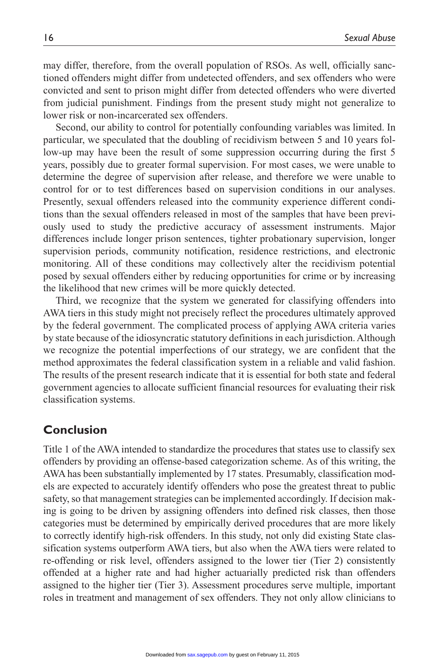may differ, therefore, from the overall population of RSOs. As well, officially sanctioned offenders might differ from undetected offenders, and sex offenders who were convicted and sent to prison might differ from detected offenders who were diverted from judicial punishment. Findings from the present study might not generalize to lower risk or non-incarcerated sex offenders.

Second, our ability to control for potentially confounding variables was limited. In particular, we speculated that the doubling of recidivism between 5 and 10 years follow-up may have been the result of some suppression occurring during the first 5 years, possibly due to greater formal supervision. For most cases, we were unable to determine the degree of supervision after release, and therefore we were unable to control for or to test differences based on supervision conditions in our analyses. Presently, sexual offenders released into the community experience different conditions than the sexual offenders released in most of the samples that have been previously used to study the predictive accuracy of assessment instruments. Major differences include longer prison sentences, tighter probationary supervision, longer supervision periods, community notification, residence restrictions, and electronic monitoring. All of these conditions may collectively alter the recidivism potential posed by sexual offenders either by reducing opportunities for crime or by increasing the likelihood that new crimes will be more quickly detected.

Third, we recognize that the system we generated for classifying offenders into AWA tiers in this study might not precisely reflect the procedures ultimately approved by the federal government. The complicated process of applying AWA criteria varies by state because of the idiosyncratic statutory definitions in each jurisdiction. Although we recognize the potential imperfections of our strategy, we are confident that the method approximates the federal classification system in a reliable and valid fashion. The results of the present research indicate that it is essential for both state and federal government agencies to allocate sufficient financial resources for evaluating their risk classification systems.

# **Conclusion**

Title 1 of the AWA intended to standardize the procedures that states use to classify sex offenders by providing an offense-based categorization scheme. As of this writing, the AWA has been substantially implemented by 17 states. Presumably, classification models are expected to accurately identify offenders who pose the greatest threat to public safety, so that management strategies can be implemented accordingly. If decision making is going to be driven by assigning offenders into defined risk classes, then those categories must be determined by empirically derived procedures that are more likely to correctly identify high-risk offenders. In this study, not only did existing State classification systems outperform AWA tiers, but also when the AWA tiers were related to re-offending or risk level, offenders assigned to the lower tier (Tier 2) consistently offended at a higher rate and had higher actuarially predicted risk than offenders assigned to the higher tier (Tier 3). Assessment procedures serve multiple, important roles in treatment and management of sex offenders. They not only allow clinicians to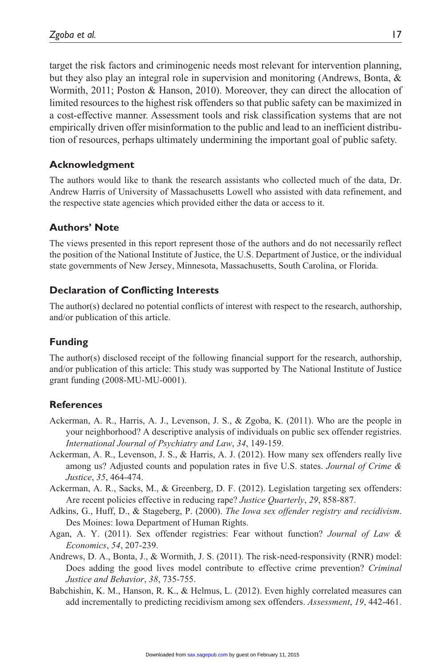target the risk factors and criminogenic needs most relevant for intervention planning, but they also play an integral role in supervision and monitoring (Andrews, Bonta, & Wormith, 2011; Poston & Hanson, 2010). Moreover, they can direct the allocation of limited resources to the highest risk offenders so that public safety can be maximized in a cost-effective manner. Assessment tools and risk classification systems that are not empirically driven offer misinformation to the public and lead to an inefficient distribution of resources, perhaps ultimately undermining the important goal of public safety.

# **Acknowledgment**

The authors would like to thank the research assistants who collected much of the data, Dr. Andrew Harris of University of Massachusetts Lowell who assisted with data refinement, and the respective state agencies which provided either the data or access to it.

## **Authors' Note**

The views presented in this report represent those of the authors and do not necessarily reflect the position of the National Institute of Justice, the U.S. Department of Justice, or the individual state governments of New Jersey, Minnesota, Massachusetts, South Carolina, or Florida.

## **Declaration of Conflicting Interests**

The author(s) declared no potential conflicts of interest with respect to the research, authorship, and/or publication of this article.

# **Funding**

The author(s) disclosed receipt of the following financial support for the research, authorship, and/or publication of this article: This study was supported by The National Institute of Justice grant funding (2008-MU-MU-0001).

#### **References**

- Ackerman, A. R., Harris, A. J., Levenson, J. S., & Zgoba, K. (2011). Who are the people in your neighborhood? A descriptive analysis of individuals on public sex offender registries. *International Journal of Psychiatry and Law*, *34*, 149-159.
- Ackerman, A. R., Levenson, J. S., & Harris, A. J. (2012). How many sex offenders really live among us? Adjusted counts and population rates in five U.S. states. *Journal of Crime & Justice*, *35*, 464-474.
- Ackerman, A. R., Sacks, M., & Greenberg, D. F. (2012). Legislation targeting sex offenders: Are recent policies effective in reducing rape? *Justice Quarterly*, *29*, 858-887.
- Adkins, G., Huff, D., & Stageberg, P. (2000). *The Iowa sex offender registry and recidivism*. Des Moines: Iowa Department of Human Rights.
- Agan, A. Y. (2011). Sex offender registries: Fear without function? *Journal of Law & Economics*, *54*, 207-239.
- Andrews, D. A., Bonta, J., & Wormith, J. S. (2011). The risk-need-responsivity (RNR) model: Does adding the good lives model contribute to effective crime prevention? *Criminal Justice and Behavior*, *38*, 735-755.
- Babchishin, K. M., Hanson, R. K., & Helmus, L. (2012). Even highly correlated measures can add incrementally to predicting recidivism among sex offenders. *Assessment*, *19*, 442-461.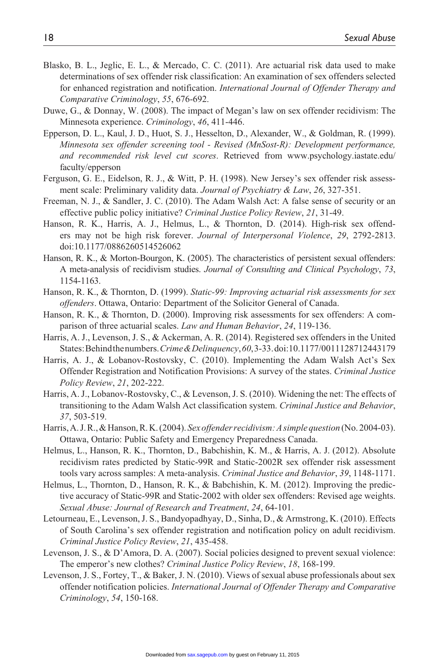- Blasko, B. L., Jeglic, E. L., & Mercado, C. C. (2011). Are actuarial risk data used to make determinations of sex offender risk classification: An examination of sex offenders selected for enhanced registration and notification. *International Journal of Offender Therapy and Comparative Criminology*, *55*, 676-692.
- Duwe, G., & Donnay, W. (2008). The impact of Megan's law on sex offender recidivism: The Minnesota experience. *Criminology*, *46*, 411-446.
- Epperson, D. L., Kaul, J. D., Huot, S. J., Hesselton, D., Alexander, W., & Goldman, R. (1999). *Minnesota sex offender screening tool - Revised (MnSost-R): Development performance, and recommended risk level cut scores*. Retrieved from [www.psychology.iastate.edu/](www.psychology.iastate.edu/faculty/epperson) [faculty/epperson](www.psychology.iastate.edu/faculty/epperson)
- Ferguson, G. E., Eidelson, R. J., & Witt, P. H. (1998). New Jersey's sex offender risk assessment scale: Preliminary validity data. *Journal of Psychiatry & Law*, *26*, 327-351.
- Freeman, N. J., & Sandler, J. C. (2010). The Adam Walsh Act: A false sense of security or an effective public policy initiative? *Criminal Justice Policy Review*, *21*, 31-49.
- Hanson, R. K., Harris, A. J., Helmus, L., & Thornton, D. (2014). High-risk sex offenders may not be high risk forever. *Journal of Interpersonal Violence*, *29*, 2792-2813. doi:10.1177/0886260514526062
- Hanson, R. K., & Morton-Bourgon, K. (2005). The characteristics of persistent sexual offenders: A meta-analysis of recidivism studies. *Journal of Consulting and Clinical Psychology*, *73*, 1154-1163.
- Hanson, R. K., & Thornton, D. (1999). *Static-99: Improving actuarial risk assessments for sex offenders*. Ottawa, Ontario: Department of the Solicitor General of Canada.
- Hanson, R. K., & Thornton, D. (2000). Improving risk assessments for sex offenders: A comparison of three actuarial scales. *Law and Human Behavior*, *24*, 119-136.
- Harris, A. J., Levenson, J. S., & Ackerman, A. R. (2014). Registered sex offenders in the United States: Behind the numbers. *Crime & Delinquency*, *60*, 3-33. doi:10.1177/0011128712443179
- Harris, A. J., & Lobanov-Rostovsky, C. (2010). Implementing the Adam Walsh Act's Sex Offender Registration and Notification Provisions: A survey of the states. *Criminal Justice Policy Review*, *21*, 202-222.
- Harris, A. J., Lobanov-Rostovsky, C., & Levenson, J. S. (2010). Widening the net: The effects of transitioning to the Adam Walsh Act classification system. *Criminal Justice and Behavior*, *37*, 503-519.
- Harris, A. J. R., & Hanson, R. K. (2004). *Sex offender recidivism: A simple question* (No. 2004-03). Ottawa, Ontario: Public Safety and Emergency Preparedness Canada.
- Helmus, L., Hanson, R. K., Thornton, D., Babchishin, K. M., & Harris, A. J. (2012). Absolute recidivism rates predicted by Static-99R and Static-2002R sex offender risk assessment tools vary across samples: A meta-analysis. *Criminal Justice and Behavior*, *39*, 1148-1171.
- Helmus, L., Thornton, D., Hanson, R. K., & Babchishin, K. M. (2012). Improving the predictive accuracy of Static-99R and Static-2002 with older sex offenders: Revised age weights. *Sexual Abuse: Journal of Research and Treatment*, *24*, 64-101.
- Letourneau, E., Levenson, J. S., Bandyopadhyay, D., Sinha, D., & Armstrong, K. (2010). Effects of South Carolina's sex offender registration and notification policy on adult recidivism. *Criminal Justice Policy Review*, *21*, 435-458.
- Levenson, J. S., & D'Amora, D. A. (2007). Social policies designed to prevent sexual violence: The emperor's new clothes? *Criminal Justice Policy Review*, *18*, 168-199.
- Levenson, J. S., Fortey, T., & Baker, J. N. (2010). Views of sexual abuse professionals about sex offender notification policies. *International Journal of Offender Therapy and Comparative Criminology*, *54*, 150-168.